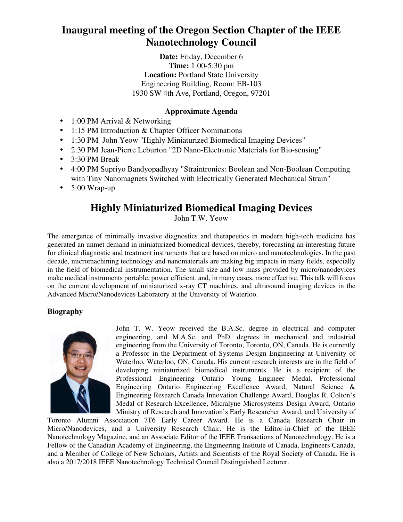**Date:** Friday, December 6 **Time:** 1:00-5:30 pm **Location:** Portland State University Engineering Building, Room: EB-103 1930 SW 4th Ave, Portland, Oregon, 97201

### **Approximate Agenda**

- 1:00 PM Arrival & Networking
- 1:15 PM Introduction & Chapter Officer Nominations
- 1:30 PM John Yeow "Highly Miniaturized Biomedical Imaging Devices"
- 2:30 PM Jean-Pierre Leburton "2D Nano-Electronic Materials for Bio-sensing"
- 3:30 PM Break
- 4:00 PM Supriyo Bandyopadhyay "Straintronics: Boolean and Non-Boolean Computing with Tiny Nanomagnets Switched with Electrically Generated Mechanical Strain"
- $\bullet$  5:00 Wrap-up

# **Highly Miniaturized Biomedical Imaging Devices**

John T.W. Yeow

The emergence of minimally invasive diagnostics and therapeutics in modern high-tech medicine has generated an unmet demand in miniaturized biomedical devices, thereby, forecasting an interesting future for clinical diagnostic and treatment instruments that are based on micro and nanotechnologies. In the past decade, micromachining technology and nanomaterials are making big impacts in many fields, especially in the field of biomedical instrumentation. The small size and low mass provided by micro/nanodevices make medical instruments portable, power efficient, and, in many cases, more effective. This talk will focus on the current development of miniaturized x-ray CT machines, and ultrasound imaging devices in the Advanced Micro/Nanodevices Laboratory at the University of Waterloo.

### **Biography**



John T. W. Yeow received the B.A.Sc. degree in electrical and computer engineering, and M.A.Sc. and PhD. degrees in mechanical and industrial engineering from the University of Toronto, Toronto, ON, Canada. He is currently a Professor in the Department of Systems Design Engineering at University of Waterloo, Waterloo, ON, Canada. His current research interests are in the field of developing miniaturized biomedical instruments. He is a recipient of the Professional Engineering Ontario Young Engineer Medal, Professional Engineering Ontario Engineering Excellence Award, Natural Science & Engineering Research Canada Innovation Challenge Award, Douglas R. Colton's Medal of Research Excellence, Micralyne Microsystems Design Award, Ontario Ministry of Research and Innovation's Early Researcher Award, and University of

Toronto Alumni Association 7T6 Early Career Award. He is a Canada Research Chair in Micro/Nanodevices, and a University Research Chair. He is the Editor-in-Chief of the IEEE Nanotechnology Magazine, and an Associate Editor of the IEEE Transactions of Nanotechnology. He is a Fellow of the Canadian Academy of Engineering, the Engineering Institute of Canada, Engineers Canada, and a Member of College of New Scholars, Artists and Scientists of the Royal Society of Canada. He is also a 2017/2018 IEEE Nanotechnology Technical Council Distinguished Lecturer.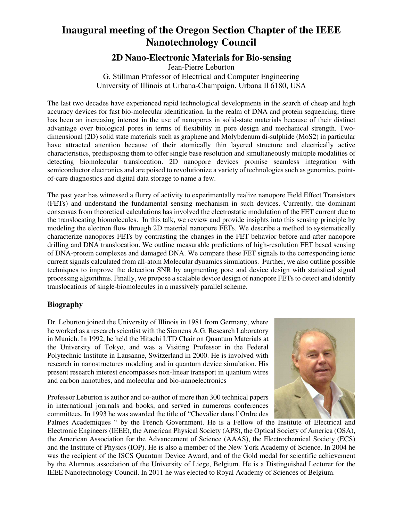### **2D Nano-Electronic Materials for Bio-sensing**

Jean-Pierre Leburton G. Stillman Professor of Electrical and Computer Engineering University of Illinois at Urbana-Champaign. Urbana Il 6180, USA

The last two decades have experienced rapid technological developments in the search of cheap and high accuracy devices for fast bio-molecular identification. In the realm of DNA and protein sequencing, there has been an increasing interest in the use of nanopores in solid-state materials because of their distinct advantage over biological pores in terms of flexibility in pore design and mechanical strength. Twodimensional (2D) solid state materials such as graphene and Molybdenum di-sulphide (MoS2) in particular have attracted attention because of their atomically thin layered structure and electrically active characteristics, predisposing them to offer single base resolution and simultaneously multiple modalities of detecting biomolecular translocation. 2D nanopore devices promise seamless integration with semiconductor electronics and are poised to revolutionize a variety of technologies such as genomics, pointof-care diagnostics and digital data storage to name a few.

The past year has witnessed a flurry of activity to experimentally realize nanopore Field Effect Transistors (FETs) and understand the fundamental sensing mechanism in such devices. Currently, the dominant consensus from theoretical calculations has involved the electrostatic modulation of the FET current due to the translocating biomolecules. In this talk, we review and provide insights into this sensing principle by modeling the electron flow through 2D material nanopore FETs. We describe a method to systematically characterize nanopores FETs by contrasting the changes in the FET behavior before-and-after nanopore drilling and DNA translocation. We outline measurable predictions of high-resolution FET based sensing of DNA-protein complexes and damaged DNA. We compare these FET signals to the corresponding ionic current signals calculated from all-atom Molecular dynamics simulations. Further, we also outline possible techniques to improve the detection SNR by augmenting pore and device design with statistical signal processing algorithms. Finally, we propose a scalable device design of nanopore FETs to detect and identify translocations of single-biomolecules in a massively parallel scheme.

#### **Biography**

Dr. Leburton joined the University of Illinois in 1981 from Germany, where he worked as a research scientist with the Siemens A.G. Research Laboratory in Munich. In 1992, he held the Hitachi LTD Chair on Quantum Materials at the University of Tokyo, and was a Visiting Professor in the Federal Polytechnic Institute in Lausanne, Switzerland in 2000. He is involved with research in nanostructures modeling and in quantum device simulation. His present research interest encompasses non-linear transport in quantum wires and carbon nanotubes, and molecular and bio-nanoelectronics

Professor Leburton is author and co-author of more than 300 technical papers in international journals and books, and served in numerous conferences committees. In 1993 he was awarded the title of "Chevalier dans l'Ordre des



Palmes Academiques " by the French Government. He is a Fellow of the Institute of Electrical and Electronic Engineers (IEEE), the American Physical Society (APS), the Optical Society of America (OSA), the American Association for the Advancement of Science (AAAS), the Electrochemical Society (ECS) and the Institute of Physics (IOP). He is also a member of the New York Academy of Science. In 2004 he was the recipient of the ISCS Quantum Device Award, and of the Gold medal for scientific achievement by the Alumnus association of the University of Liege, Belgium. He is a Distinguished Lecturer for the IEEE Nanotechnology Council. In 2011 he was elected to Royal Academy of Sciences of Belgium.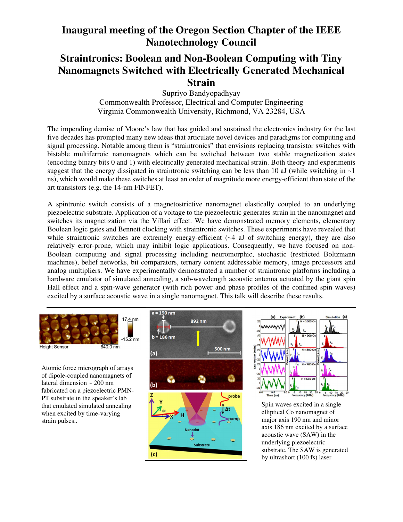### **Straintronics: Boolean and Non-Boolean Computing with Tiny Nanomagnets Switched with Electrically Generated Mechanical Strain**

Supriyo Bandyopadhyay Commonwealth Professor, Electrical and Computer Engineering Virginia Commonwealth University, Richmond, VA 23284, USA

The impending demise of Moore's law that has guided and sustained the electronics industry for the last five decades has prompted many new ideas that articulate novel devices and paradigms for computing and signal processing. Notable among them is "straintronics" that envisions replacing transistor switches with bistable multiferroic nanomagnets which can be switched between two stable magnetization states (encoding binary bits 0 and 1) with electrically generated mechanical strain. Both theory and experiments suggest that the energy dissipated in straintronic switching can be less than 10 aJ (while switching in  $\sim$ 1) ns), which would make these switches at least an order of magnitude more energy-efficient than state of the art transistors (e.g. the 14-nm FINFET).

A spintronic switch consists of a magnetostrictive nanomagnet elastically coupled to an underlying piezoelectric substrate. Application of a voltage to the piezoelectric generates strain in the nanomagnet and switches its magnetization via the Villari effect. We have demonstrated memory elements, elementary Boolean logic gates and Bennett clocking with straintronic switches. These experiments have revealed that while straintronic switches are extremely energy-efficient  $(-4 \text{ aJ of switching energy})$ , they are also relatively error-prone, which may inhibit logic applications. Consequently, we have focused on non-Boolean computing and signal processing including neuromorphic, stochastic (restricted Boltzmann machines), belief networks, bit comparators, ternary content addressable memory, image processors and analog multipliers. We have experimentally demonstrated a number of straintronic platforms including a hardware emulator of simulated annealing, a sub-wavelength acoustic antenna actuated by the giant spin Hall effect and a spin-wave generator (with rich power and phase profiles of the confined spin waves) excited by a surface acoustic wave in a single nanomagnet. This talk will describe these results.



Atomic force micrograph of arrays of dipole-coupled nanomagnets of lateral dimension ~ 200 nm fabricated on a piezoelectric PMN-PT substrate in the speaker's lab that emulated simulated annealing when excited by time-varying strain pulses..





Spin waves excited in a single elliptical Co nanomagnet of major axis 190 nm and minor axis 186 nm excited by a surface acoustic wave (SAW) in the underlying piezoelectric substrate. The SAW is generated by ultrashort (100 fs) laser